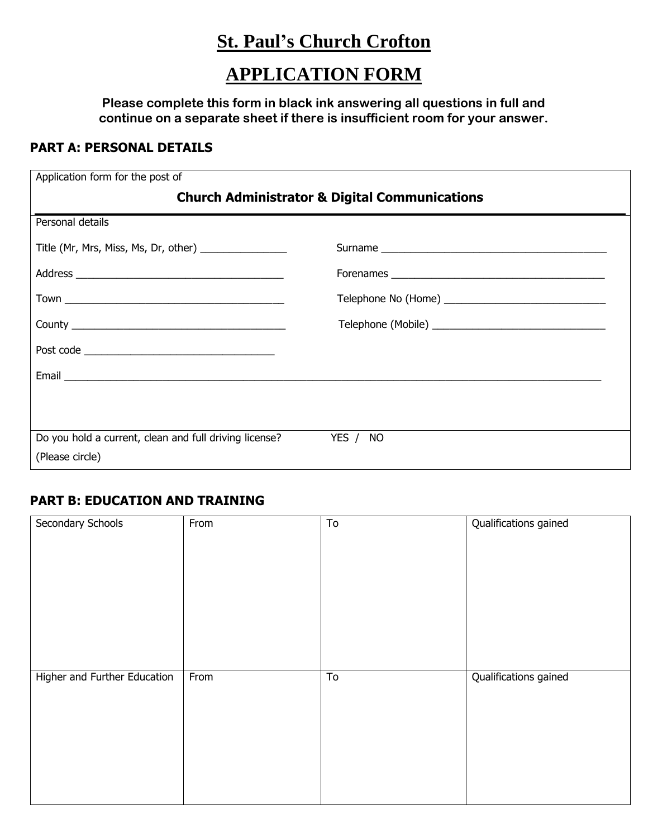# **St. Paul's Church Crofton**

# **APPLICATION FORM**

**Please complete this form in black ink answering all questions in full and continue on a separate sheet if there is insufficient room for your answer.**

## **PART A: PERSONAL DETAILS**

| Application form for the post of                         |          |  |
|----------------------------------------------------------|----------|--|
| <b>Church Administrator &amp; Digital Communications</b> |          |  |
| Personal details                                         |          |  |
| Title (Mr, Mrs, Miss, Ms, Dr, other) _________________   |          |  |
|                                                          |          |  |
|                                                          |          |  |
|                                                          |          |  |
|                                                          |          |  |
|                                                          |          |  |
|                                                          |          |  |
| Do you hold a current, clean and full driving license?   | YES / NO |  |
| (Please circle)                                          |          |  |

# **PART B: EDUCATION AND TRAINING**

| Secondary Schools            | From | $\overline{10}$ | Qualifications gained |
|------------------------------|------|-----------------|-----------------------|
|                              |      |                 |                       |
|                              |      |                 |                       |
|                              |      |                 |                       |
|                              |      |                 |                       |
|                              |      |                 |                       |
|                              |      |                 |                       |
|                              |      |                 |                       |
|                              |      |                 |                       |
|                              |      |                 |                       |
| Higher and Further Education | From | To              | Qualifications gained |
|                              |      |                 |                       |
|                              |      |                 |                       |
|                              |      |                 |                       |
|                              |      |                 |                       |
|                              |      |                 |                       |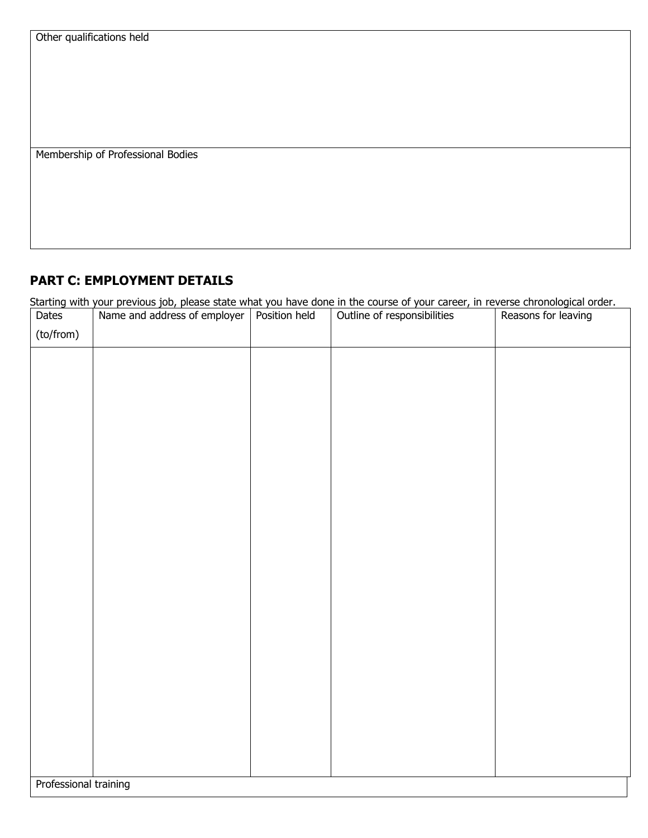Membership of Professional Bodies

# **PART C: EMPLOYMENT DETAILS**

Starting with your previous job, please state what you have done in the course of your career, in reverse chronological order.

| Dates                 | Name and address of employer | Position held | Outline of responsibilities | Reasons for leaving |
|-----------------------|------------------------------|---------------|-----------------------------|---------------------|
| (to/from)             |                              |               |                             |                     |
|                       |                              |               |                             |                     |
|                       |                              |               |                             |                     |
|                       |                              |               |                             |                     |
|                       |                              |               |                             |                     |
|                       |                              |               |                             |                     |
|                       |                              |               |                             |                     |
|                       |                              |               |                             |                     |
|                       |                              |               |                             |                     |
|                       |                              |               |                             |                     |
|                       |                              |               |                             |                     |
|                       |                              |               |                             |                     |
|                       |                              |               |                             |                     |
|                       |                              |               |                             |                     |
|                       |                              |               |                             |                     |
|                       |                              |               |                             |                     |
|                       |                              |               |                             |                     |
|                       |                              |               |                             |                     |
|                       |                              |               |                             |                     |
|                       |                              |               |                             |                     |
|                       |                              |               |                             |                     |
|                       |                              |               |                             |                     |
|                       |                              |               |                             |                     |
| Professional training |                              |               |                             |                     |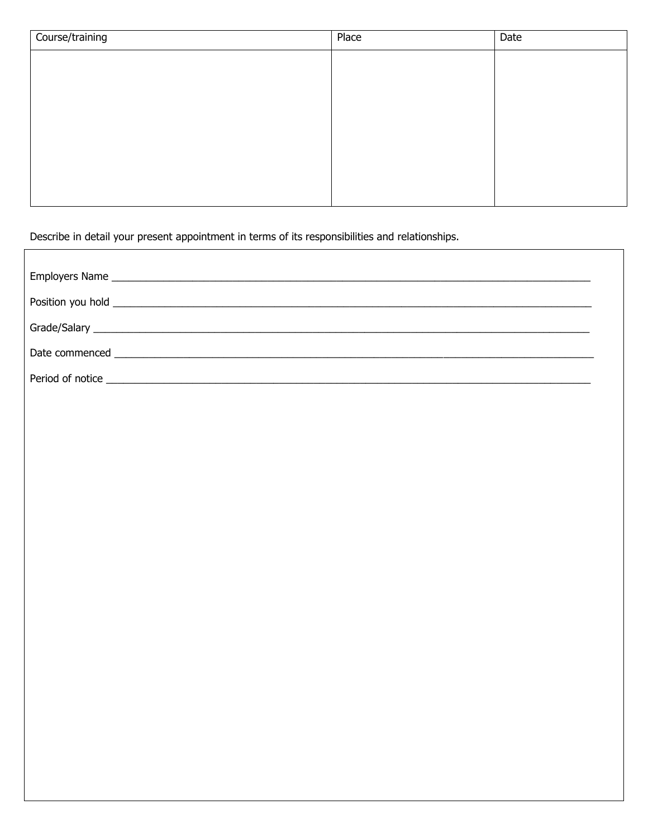| Course/training | Place | Date |
|-----------------|-------|------|
|                 |       |      |
|                 |       |      |
|                 |       |      |
|                 |       |      |
|                 |       |      |
|                 |       |      |
|                 |       |      |
|                 |       |      |

٦

Describe in detail your present appointment in terms of its responsibilities and relationships.

 $\Gamma$ 

| Date commenced <b>commersed commersed commerse and the commerse of the commerse of the commerse of the commerse of the commerse of the commerse of the commerse of the commerse of the commerse of the commerse of the comme</b> |
|----------------------------------------------------------------------------------------------------------------------------------------------------------------------------------------------------------------------------------|
|                                                                                                                                                                                                                                  |
|                                                                                                                                                                                                                                  |
|                                                                                                                                                                                                                                  |
|                                                                                                                                                                                                                                  |
|                                                                                                                                                                                                                                  |
|                                                                                                                                                                                                                                  |
|                                                                                                                                                                                                                                  |
|                                                                                                                                                                                                                                  |
|                                                                                                                                                                                                                                  |
|                                                                                                                                                                                                                                  |
|                                                                                                                                                                                                                                  |
|                                                                                                                                                                                                                                  |
|                                                                                                                                                                                                                                  |
|                                                                                                                                                                                                                                  |
|                                                                                                                                                                                                                                  |
|                                                                                                                                                                                                                                  |
|                                                                                                                                                                                                                                  |
|                                                                                                                                                                                                                                  |
|                                                                                                                                                                                                                                  |
|                                                                                                                                                                                                                                  |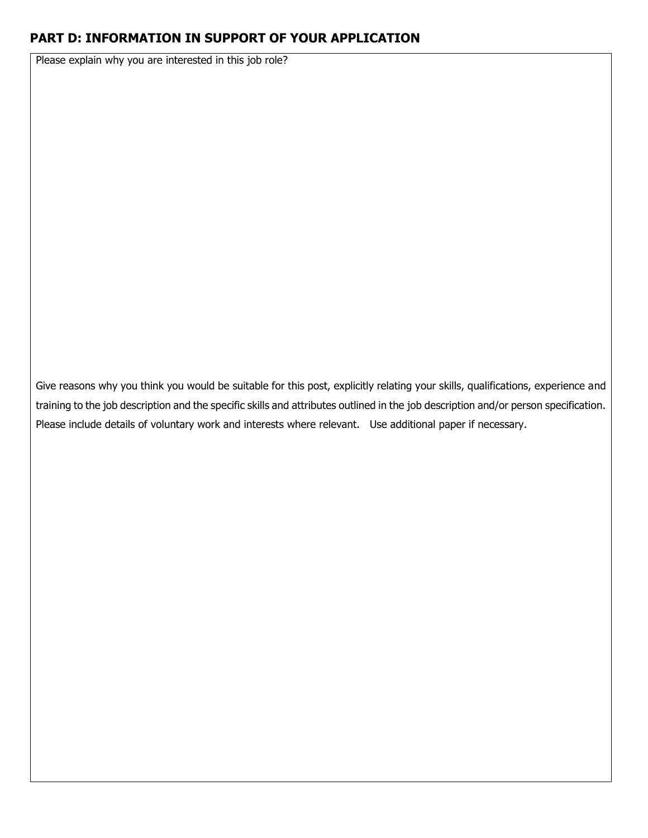### **PART D: INFORMATION IN SUPPORT OF YOUR APPLICATION**

Please explain why you are interested in this job role?

Give reasons why you think you would be suitable for this post, explicitly relating your skills, qualifications, experience and training to the job description and the specific skills and attributes outlined in the job description and/or person specification. Please include details of voluntary work and interests where relevant. Use additional paper if necessary.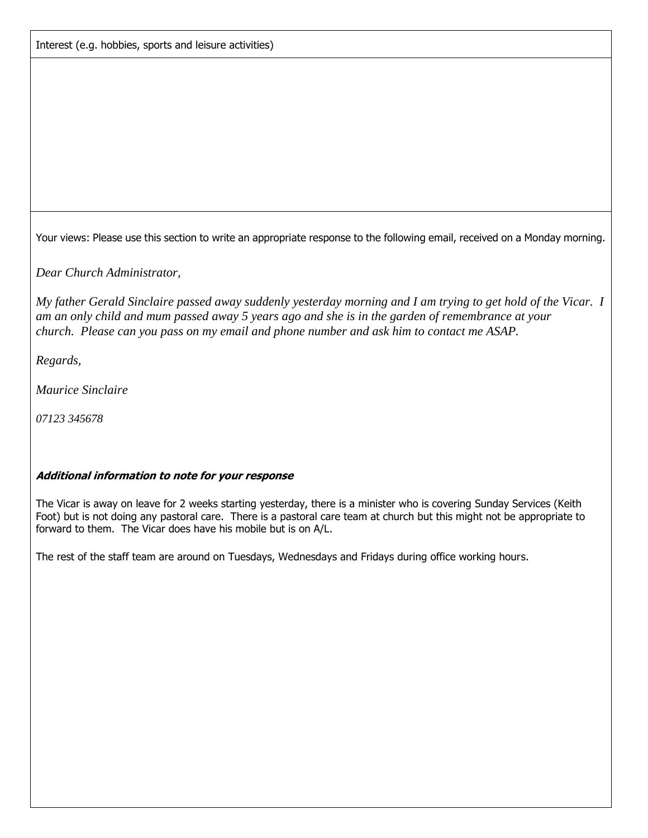Your views: Please use this section to write an appropriate response to the following email, received on a Monday morning.

*Dear Church Administrator,* 

*My father Gerald Sinclaire passed away suddenly yesterday morning and I am trying to get hold of the Vicar. I am an only child and mum passed away 5 years ago and she is in the garden of remembrance at your church. Please can you pass on my email and phone number and ask him to contact me ASAP.* 

*Regards,* 

*Maurice Sinclaire* 

*07123 345678*

#### **Additional information to note for your response**

The Vicar is away on leave for 2 weeks starting yesterday, there is a minister who is covering Sunday Services (Keith Foot) but is not doing any pastoral care. There is a pastoral care team at church but this might not be appropriate to forward to them. The Vicar does have his mobile but is on A/L.

The rest of the staff team are around on Tuesdays, Wednesdays and Fridays during office working hours.